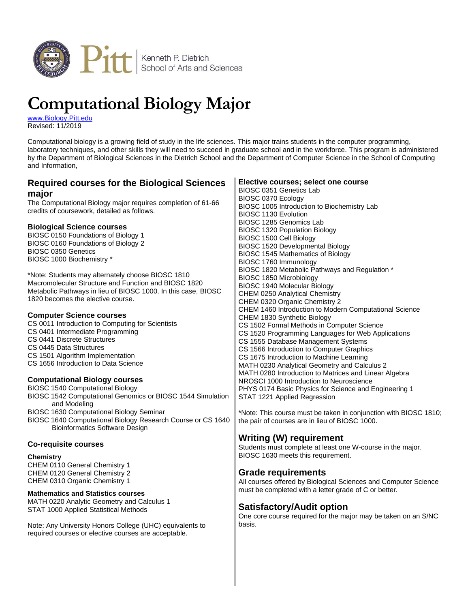

# **Computational Biology Major**

[www.Biology.Pitt.edu](http://www.biology.pitt.edu/) Revised: 11/2019

Computational biology is a growing field of study in the life sciences. This major trains students in the computer programming, laboratory techniques, and other skills they will need to succeed in graduate school and in the workforce. This program is administered by the Department of Biological Sciences in the Dietrich School and the Department of Computer Science in the School of Computing and Information,

| <b>Required courses for the Biological Sciences</b><br>major<br>The Computational Biology major requires completion of 61-66<br>credits of coursework, detailed as follows.<br><b>Biological Science courses</b><br>BIOSC 0150 Foundations of Biology 1<br>BIOSC 0160 Foundations of Biology 2<br>BIOSC 0350 Genetics                                                                                                          | Elective courses; select one course<br>BIOSC 0351 Genetics Lab<br>BIOSC 0370 Ecology<br>BIOSC 1005 Introduction to Biochemistry Lab<br>BIOSC 1130 Evolution<br>BIOSC 1285 Genomics Lab<br><b>BIOSC 1320 Population Biology</b><br>BIOSC 1500 Cell Biology<br>BIOSC 1520 Developmental Biology<br>BIOSC 1545 Mathematics of Biology                                                                                                                                                                            |  |
|--------------------------------------------------------------------------------------------------------------------------------------------------------------------------------------------------------------------------------------------------------------------------------------------------------------------------------------------------------------------------------------------------------------------------------|---------------------------------------------------------------------------------------------------------------------------------------------------------------------------------------------------------------------------------------------------------------------------------------------------------------------------------------------------------------------------------------------------------------------------------------------------------------------------------------------------------------|--|
| BIOSC 1000 Biochemistry *<br>*Note: Students may alternately choose BIOSC 1810<br>Macromolecular Structure and Function and BIOSC 1820<br>Metabolic Pathways in lieu of BIOSC 1000. In this case, BIOSC<br>1820 becomes the elective course.                                                                                                                                                                                   | BIOSC 1760 Immunology<br>BIOSC 1820 Metabolic Pathways and Regulation *<br>BIOSC 1850 Microbiology<br><b>BIOSC 1940 Molecular Biology</b><br>CHEM 0250 Analytical Chemistry<br>CHEM 0320 Organic Chemistry 2<br>CHEM 1460 Introduction to Modern Computational Science                                                                                                                                                                                                                                        |  |
| <b>Computer Science courses</b><br>CS 0011 Introduction to Computing for Scientists<br>CS 0401 Intermediate Programming<br>CS 0441 Discrete Structures<br>CS 0445 Data Structures<br>CS 1501 Algorithm Implementation<br>CS 1656 Introduction to Data Science<br><b>Computational Biology courses</b><br><b>BIOSC 1540 Computational Biology</b><br>BIOSC 1542 Computational Genomics or BIOSC 1544 Simulation<br>and Modeling | CHEM 1830 Synthetic Biology<br>CS 1502 Formal Methods in Computer Science<br>CS 1520 Programming Languages for Web Applications<br>CS 1555 Database Management Systems<br>CS 1566 Introduction to Computer Graphics<br>CS 1675 Introduction to Machine Learning<br>MATH 0230 Analytical Geometry and Calculus 2<br>MATH 0280 Introduction to Matrices and Linear Algebra<br>NROSCI 1000 Introduction to Neuroscience<br>PHYS 0174 Basic Physics for Science and Engineering 1<br>STAT 1221 Applied Regression |  |
| BIOSC 1630 Computational Biology Seminar<br>BIOSC 1640 Computational Biology Research Course or CS 1640<br><b>Bioinformatics Software Design</b>                                                                                                                                                                                                                                                                               | *Note: This course must be taken in conjunction with BIOSC 1810;<br>the pair of courses are in lieu of BIOSC 1000.                                                                                                                                                                                                                                                                                                                                                                                            |  |
| <b>Co-requisite courses</b><br><b>Chemistry</b><br>CHEM 0110 General Chemistry 1                                                                                                                                                                                                                                                                                                                                               | <b>Writing (W) requirement</b><br>Students must complete at least one W-course in the major.<br>BIOSC 1630 meets this requirement.                                                                                                                                                                                                                                                                                                                                                                            |  |
| CHEM 0120 General Chemistry 2<br>CHEM 0310 Organic Chemistry 1<br><b>Mathematics and Statistics courses</b>                                                                                                                                                                                                                                                                                                                    | <b>Grade requirements</b><br>All courses offered by Biological Sciences and Computer Science<br>must be completed with a letter grade of C or better.                                                                                                                                                                                                                                                                                                                                                         |  |
| MATH 0220 Analytic Geometry and Calculus 1<br>STAT 1000 Applied Statistical Methods<br>Note: Any University Honors College (UHC) equivalents to<br>required courses or elective courses are acceptable.                                                                                                                                                                                                                        | <b>Satisfactory/Audit option</b><br>One core course required for the major may be taken on an S/NC<br>basis.                                                                                                                                                                                                                                                                                                                                                                                                  |  |